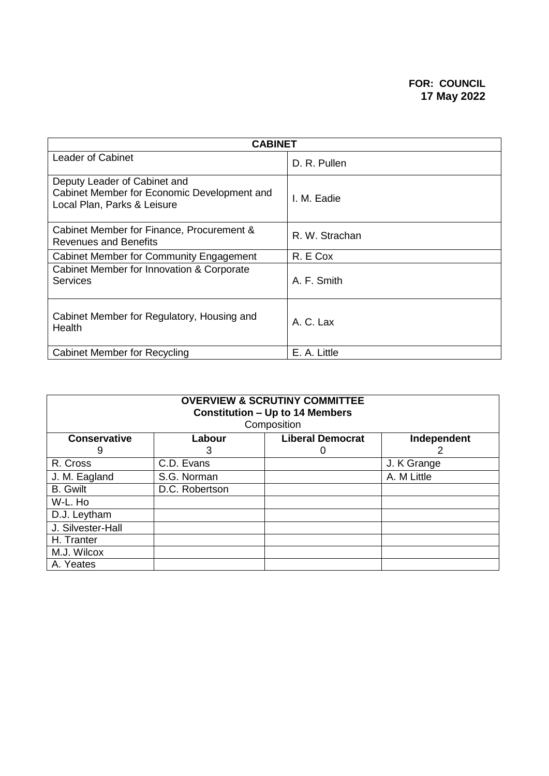| <b>CABINET</b>                                                                                             |                |  |  |
|------------------------------------------------------------------------------------------------------------|----------------|--|--|
| Leader of Cabinet                                                                                          | D. R. Pullen   |  |  |
| Deputy Leader of Cabinet and<br>Cabinet Member for Economic Development and<br>Local Plan, Parks & Leisure | I. M. Eadie    |  |  |
| Cabinet Member for Finance, Procurement &<br><b>Revenues and Benefits</b>                                  | R. W. Strachan |  |  |
| Cabinet Member for Community Engagement                                                                    | R. E Cox       |  |  |
| Cabinet Member for Innovation & Corporate<br><b>Services</b>                                               | A. F. Smith    |  |  |
| Cabinet Member for Regulatory, Housing and<br>Health                                                       | A. C. Lax      |  |  |
| Cabinet Member for Recycling                                                                               | E. A. Little   |  |  |

| <b>OVERVIEW &amp; SCRUTINY COMMITTEE</b><br><b>Constitution - Up to 14 Members</b><br>Composition |                                                  |   |             |  |
|---------------------------------------------------------------------------------------------------|--------------------------------------------------|---|-------------|--|
| <b>Conservative</b>                                                                               | <b>Liberal Democrat</b><br>Independent<br>Labour |   |             |  |
| 9                                                                                                 | 3                                                | O |             |  |
| R. Cross                                                                                          | C.D. Evans                                       |   | J. K Grange |  |
| J. M. Eagland                                                                                     | S.G. Norman                                      |   | A. M Little |  |
| <b>B.</b> Gwilt                                                                                   | D.C. Robertson                                   |   |             |  |
| W-L. Ho                                                                                           |                                                  |   |             |  |
| D.J. Leytham                                                                                      |                                                  |   |             |  |
| J. Silvester-Hall                                                                                 |                                                  |   |             |  |
| H. Tranter                                                                                        |                                                  |   |             |  |
| M.J. Wilcox                                                                                       |                                                  |   |             |  |
| A. Yeates                                                                                         |                                                  |   |             |  |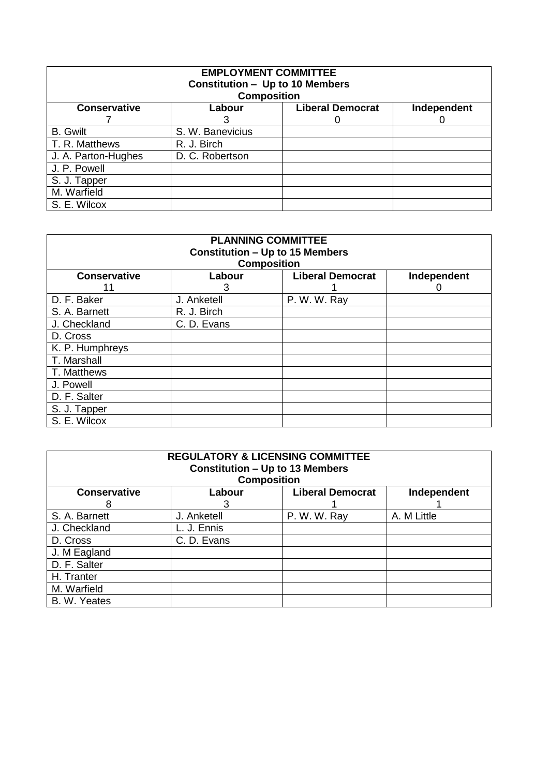| <b>EMPLOYMENT COMMITTEE</b><br><b>Constitution - Up to 10 Members</b> |                    |                         |             |  |
|-----------------------------------------------------------------------|--------------------|-------------------------|-------------|--|
|                                                                       | <b>Composition</b> |                         |             |  |
| <b>Conservative</b>                                                   | Labour             | <b>Liberal Democrat</b> | Independent |  |
|                                                                       |                    |                         |             |  |
| <b>B.</b> Gwilt                                                       | S. W. Banevicius   |                         |             |  |
| T. R. Matthews                                                        | R. J. Birch        |                         |             |  |
| J. A. Parton-Hughes                                                   | D. C. Robertson    |                         |             |  |
| J. P. Powell                                                          |                    |                         |             |  |
| S. J. Tapper                                                          |                    |                         |             |  |
| M. Warfield                                                           |                    |                         |             |  |
| S. E. Wilcox                                                          |                    |                         |             |  |

| <b>PLANNING COMMITTEE</b><br><b>Constitution - Up to 15 Members</b><br><b>Composition</b> |                                                  |              |  |  |  |  |
|-------------------------------------------------------------------------------------------|--------------------------------------------------|--------------|--|--|--|--|
| <b>Conservative</b>                                                                       | <b>Liberal Democrat</b><br>Independent<br>Labour |              |  |  |  |  |
| 11                                                                                        | 3                                                |              |  |  |  |  |
| D. F. Baker                                                                               | J. Anketell                                      | P. W. W. Ray |  |  |  |  |
| S. A. Barnett                                                                             | R. J. Birch                                      |              |  |  |  |  |
| J. Checkland                                                                              | C. D. Evans                                      |              |  |  |  |  |
| D. Cross                                                                                  |                                                  |              |  |  |  |  |
| K. P. Humphreys                                                                           |                                                  |              |  |  |  |  |
| T. Marshall                                                                               |                                                  |              |  |  |  |  |
| T. Matthews                                                                               |                                                  |              |  |  |  |  |
| J. Powell                                                                                 |                                                  |              |  |  |  |  |
| D. F. Salter                                                                              |                                                  |              |  |  |  |  |
| S. J. Tapper                                                                              |                                                  |              |  |  |  |  |
| S. E. Wilcox                                                                              |                                                  |              |  |  |  |  |

| <b>REGULATORY &amp; LICENSING COMMITTEE</b><br><b>Constitution - Up to 13 Members</b> |                    |                         |             |
|---------------------------------------------------------------------------------------|--------------------|-------------------------|-------------|
|                                                                                       | <b>Composition</b> |                         |             |
| <b>Conservative</b>                                                                   | Labour             | <b>Liberal Democrat</b> | Independent |
| 8                                                                                     | 3                  |                         |             |
| S. A. Barnett                                                                         | J. Anketell        | P. W. W. Ray            | A. M Little |
| J. Checkland                                                                          | L. J. Ennis        |                         |             |
| D. Cross                                                                              | C. D. Evans        |                         |             |
| J. M Eagland                                                                          |                    |                         |             |
| D. F. Salter                                                                          |                    |                         |             |
| H. Tranter                                                                            |                    |                         |             |
| M. Warfield                                                                           |                    |                         |             |
| B. W. Yeates                                                                          |                    |                         |             |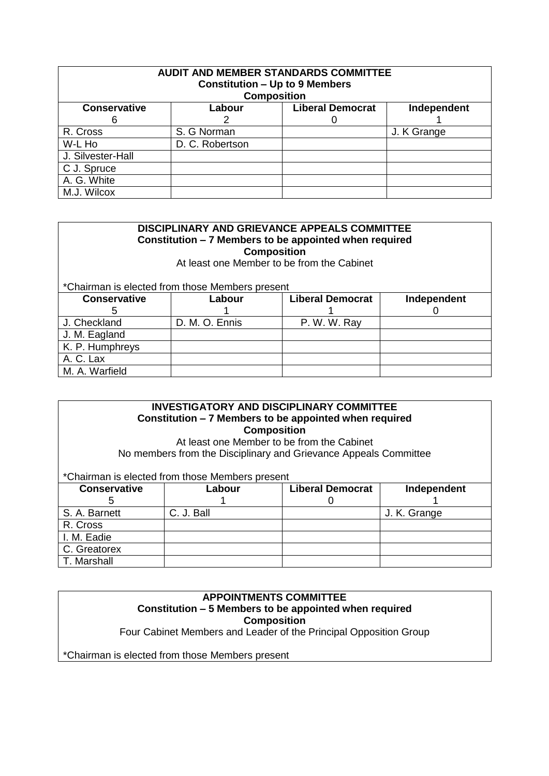| <b>AUDIT AND MEMBER STANDARDS COMMITTEE</b><br><b>Constitution - Up to 9 Members</b> |                 |                    |             |
|--------------------------------------------------------------------------------------|-----------------|--------------------|-------------|
|                                                                                      |                 | <b>Composition</b> |             |
| <b>Conservative</b><br><b>Liberal Democrat</b><br>Labour<br>Independent              |                 |                    |             |
| 6                                                                                    |                 |                    |             |
| R. Cross                                                                             | S. G Norman     |                    | J. K Grange |
| W-L Ho                                                                               | D. C. Robertson |                    |             |
| J. Silvester-Hall                                                                    |                 |                    |             |
| C J. Spruce                                                                          |                 |                    |             |
| A. G. White                                                                          |                 |                    |             |
| M.J. Wilcox                                                                          |                 |                    |             |

#### **DISCIPLINARY AND GRIEVANCE APPEALS COMMITTEE Constitution – 7 Members to be appointed when required Composition**

At least one Member to be from the Cabinet

\*Chairman is elected from those Members present

| <b>Conservative</b> | Labour         | <b>Liberal Democrat</b> | Independent |
|---------------------|----------------|-------------------------|-------------|
|                     |                |                         |             |
| J. Checkland        | D. M. O. Ennis | P. W. W. Ray            |             |
| J. M. Eagland       |                |                         |             |
| K. P. Humphreys     |                |                         |             |
| A. C. Lax           |                |                         |             |
| M. A. Warfield      |                |                         |             |

## **INVESTIGATORY AND DISCIPLINARY COMMITTEE Constitution – 7 Members to be appointed when required Composition**

At least one Member to be from the Cabinet No members from the Disciplinary and Grievance Appeals Committee

\*Chairman is elected from those Members present

| <b>Conservative</b> | Labour     | <b>Liberal Democrat</b> | Independent  |
|---------------------|------------|-------------------------|--------------|
|                     |            |                         |              |
| S. A. Barnett       | C. J. Ball |                         | J. K. Grange |
| R. Cross            |            |                         |              |
| I. M. Eadie         |            |                         |              |
| C. Greatorex        |            |                         |              |
| T. Marshall         |            |                         |              |

# **APPOINTMENTS COMMITTEE Constitution – 5 Members to be appointed when required Composition**

Four Cabinet Members and Leader of the Principal Opposition Group

\*Chairman is elected from those Members present